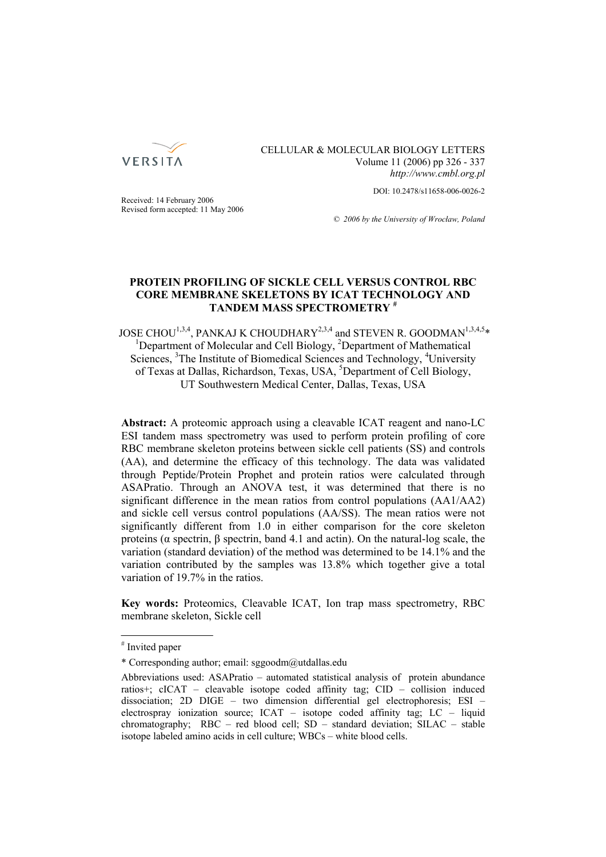

CELLULAR & MOLECULAR BIOLOGY LETTERS Volume 11 (2006) pp 326 - 337 *http://www.cmbl.org.pl*

DOI: 10.2478/s11658-006-0026-2

Received: 14 February 2006 Revised form accepted: 11 May 2006

*© 2006 by the University of Wrocław, Poland*

# **PROTEIN PROFILING OF SICKLE CELL VERSUS CONTROL RBC CORE MEMBRANE SKELETONS BY ICAT TECHNOLOGY AND TANDEM MASS SPECTROMETRY #**

JOSE CHOU $^{1,3,4}$ , PANKAJ K CHOUDHARY<sup>2,3,4</sup> and STEVEN R. GOODMAN<sup>1,3,4,5</sup>\* Department of Molecular and Cell Biology, <sup>2</sup>Department of Mathematical Sciences, <sup>3</sup>The Institute of Biomedical Sciences and Technology, <sup>4</sup>University of Texas at Dallas, Richardson, Texas, USA, <sup>5</sup>Department of Cell Biology, UT Southwestern Medical Center, Dallas, Texas, USA

**Abstract:** A proteomic approach using a cleavable ICAT reagent and nano-LC ESI tandem mass spectrometry was used to perform protein profiling of core RBC membrane skeleton proteins between sickle cell patients (SS) and controls (AA), and determine the efficacy of this technology. The data was validated through Peptide/Protein Prophet and protein ratios were calculated through ASAPratio. Through an ANOVA test, it was determined that there is no significant difference in the mean ratios from control populations (AA1/AA2) and sickle cell versus control populations (AA/SS). The mean ratios were not significantly different from 1.0 in either comparison for the core skeleton proteins (α spectrin, β spectrin, band 4.1 and actin). On the natural-log scale, the variation (standard deviation) of the method was determined to be 14.1% and the variation contributed by the samples was 13.8% which together give a total variation of 19.7% in the ratios.

**Key words:** Proteomics, Cleavable ICAT, Ion trap mass spectrometry, RBC membrane skeleton, Sickle cell

<sup>#</sup> Invited paper

<sup>\*</sup> Corresponding author; email: sggoodm@utdallas.edu

Abbreviations used: ASAPratio – automated statistical analysis of protein abundance ratios+; cICAT – cleavable isotope coded affinity tag; CID – collision induced dissociation; 2D DIGE – two dimension differential gel electrophoresis; ESI – electrospray ionization source; ICAT – isotope coded affinity tag; LC – liquid chromatography; RBC – red blood cell; SD – standard deviation; SILAC – stable isotope labeled amino acids in cell culture; WBCs – white blood cells.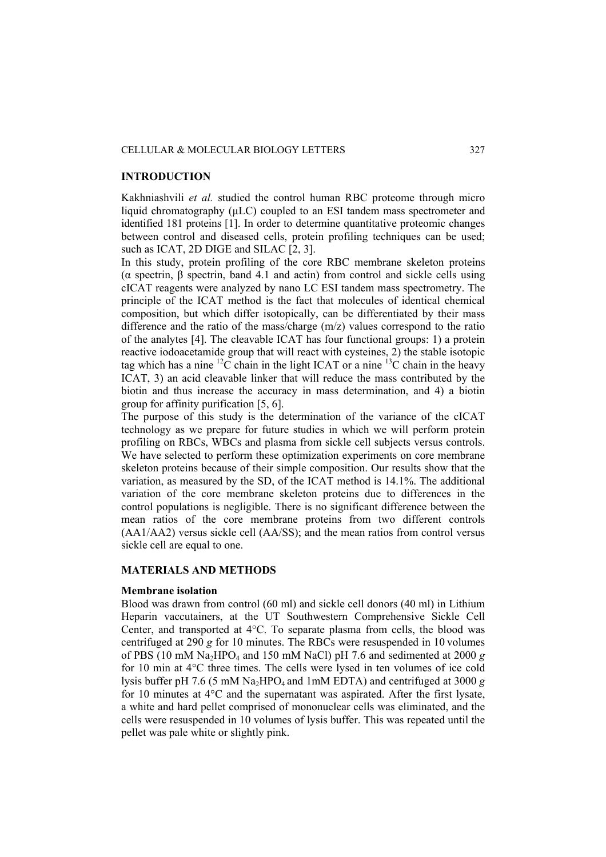## **INTRODUCTION**

Kakhniashvili *et al.* studied the control human RBC proteome through micro liquid chromatography (µLC) coupled to an ESI tandem mass spectrometer and identified 181 proteins [1]. In order to determine quantitative proteomic changes between control and diseased cells, protein profiling techniques can be used; such as ICAT, 2D DIGE and SILAC [2, 3].

In this study, protein profiling of the core RBC membrane skeleton proteins (α spectrin, β spectrin, band 4.1 and actin) from control and sickle cells using cICAT reagents were analyzed by nano LC ESI tandem mass spectrometry. The principle of the ICAT method is the fact that molecules of identical chemical composition, but which differ isotopically, can be differentiated by their mass difference and the ratio of the mass/charge (m/z) values correspond to the ratio of the analytes [4]. The cleavable ICAT has four functional groups: 1) a protein reactive iodoacetamide group that will react with cysteines, 2) the stable isotopic tag which has a nine  ${}^{12}C$  chain in the light ICAT or a nine  ${}^{13}C$  chain in the heavy ICAT, 3) an acid cleavable linker that will reduce the mass contributed by the biotin and thus increase the accuracy in mass determination, and 4) a biotin group for affinity purification [5, 6].

The purpose of this study is the determination of the variance of the cICAT technology as we prepare for future studies in which we will perform protein profiling on RBCs, WBCs and plasma from sickle cell subjects versus controls. We have selected to perform these optimization experiments on core membrane skeleton proteins because of their simple composition. Our results show that the variation, as measured by the SD, of the ICAT method is 14.1%. The additional variation of the core membrane skeleton proteins due to differences in the control populations is negligible. There is no significant difference between the mean ratios of the core membrane proteins from two different controls (AA1/AA2) versus sickle cell (AA/SS); and the mean ratios from control versus sickle cell are equal to one.

## **MATERIALS AND METHODS**

#### **Membrane isolation**

Blood was drawn from control (60 ml) and sickle cell donors (40 ml) in Lithium Heparin vaccutainers, at the UT Southwestern Comprehensive Sickle Cell Center, and transported at 4°C. To separate plasma from cells, the blood was centrifuged at 290 *g* for 10 minutes. The RBCs were resuspended in 10 volumes of PBS (10 mM Na<sub>2</sub>HPO<sub>4</sub> and 150 mM NaCl) pH 7.6 and sedimented at 2000  $g$ for 10 min at 4°C three times. The cells were lysed in ten volumes of ice cold lysis buffer pH 7.6 (5 mM Na<sub>2</sub>HPO<sub>4</sub> and 1mM EDTA) and centrifuged at 3000  $g$ for 10 minutes at 4°C and the supernatant was aspirated. After the first lysate, a white and hard pellet comprised of mononuclear cells was eliminated, and the cells were resuspended in 10 volumes of lysis buffer. This was repeated until the pellet was pale white or slightly pink.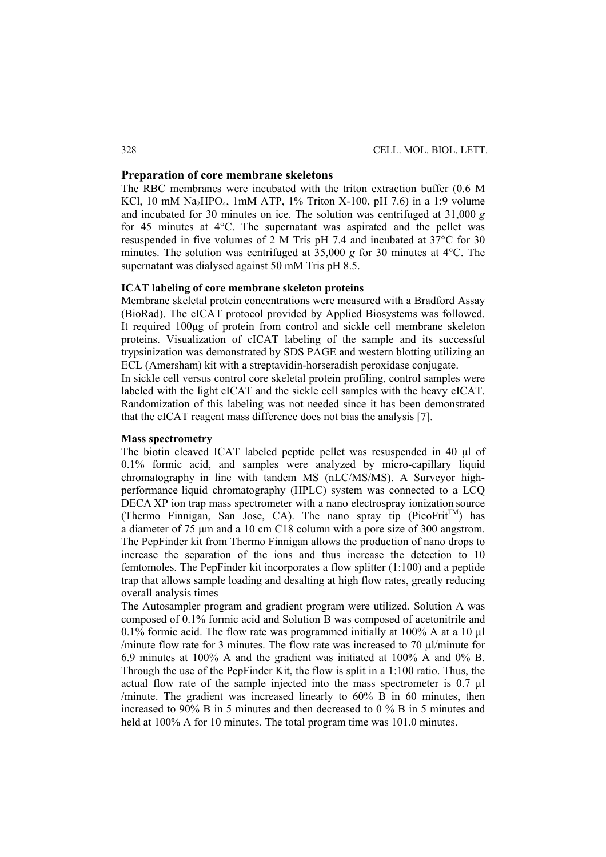# **Preparation of core membrane skeletons**

The RBC membranes were incubated with the triton extraction buffer (0.6 M KCl, 10 mM Na<sub>2</sub>HPO<sub>4</sub>, 1mM ATP, 1% Triton X-100, pH 7.6) in a 1:9 volume and incubated for 30 minutes on ice. The solution was centrifuged at 31,000 *g* for 45 minutes at 4°C. The supernatant was aspirated and the pellet was resuspended in five volumes of 2 M Tris pH 7.4 and incubated at 37°C for 30 minutes. The solution was centrifuged at 35,000 *g* for 30 minutes at 4°C. The supernatant was dialysed against 50 mM Tris pH 8.5.

# **ICAT labeling of core membrane skeleton proteins**

Membrane skeletal protein concentrations were measured with a Bradford Assay (BioRad). The cICAT protocol provided by Applied Biosystems was followed. It required 100μg of protein from control and sickle cell membrane skeleton proteins. Visualization of cICAT labeling of the sample and its successful trypsinization was demonstrated by SDS PAGE and western blotting utilizing an ECL (Amersham) kit with a streptavidin-horseradish peroxidase conjugate.

In sickle cell versus control core skeletal protein profiling, control samples were labeled with the light cICAT and the sickle cell samples with the heavy cICAT. Randomization of this labeling was not needed since it has been demonstrated that the cICAT reagent mass difference does not bias the analysis [7].

## **Mass spectrometry**

The biotin cleaved ICAT labeled peptide pellet was resuspended in 40 μl of 0.1% formic acid, and samples were analyzed by micro-capillary liquid chromatography in line with tandem MS (nLC/MS/MS). A Surveyor highperformance liquid chromatography (HPLC) system was connected to a LCQ DECA XP ion trap mass spectrometer with a nano electrospray ionization source (Thermo Finnigan, San Jose, CA). The nano spray tip (PicoFrit<sup>TM</sup>) has a diameter of 75 μm and a 10 cm C18 column with a pore size of 300 angstrom. The PepFinder kit from Thermo Finnigan allows the production of nano drops to increase the separation of the ions and thus increase the detection to 10 femtomoles. The PepFinder kit incorporates a flow splitter (1:100) and a peptide trap that allows sample loading and desalting at high flow rates, greatly reducing overall analysis times

The Autosampler program and gradient program were utilized. Solution A was composed of 0.1% formic acid and Solution B was composed of acetonitrile and 0.1% formic acid. The flow rate was programmed initially at 100% A at a 10 µl /minute flow rate for 3 minutes. The flow rate was increased to 70 µl/minute for 6.9 minutes at 100% A and the gradient was initiated at 100% A and 0% B. Through the use of the PepFinder Kit, the flow is split in a 1:100 ratio. Thus, the actual flow rate of the sample injected into the mass spectrometer is  $0.7 \mu$ l /minute. The gradient was increased linearly to 60% B in 60 minutes, then increased to 90% B in 5 minutes and then decreased to 0 % B in 5 minutes and held at 100% A for 10 minutes. The total program time was 101.0 minutes.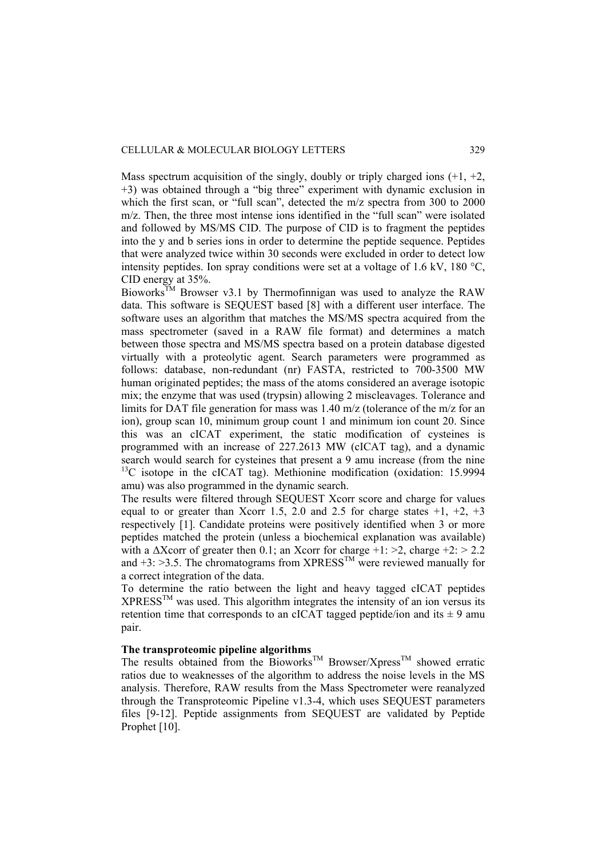Mass spectrum acquisition of the singly, doubly or triply charged ions  $(+1, +2, +1)$ +3) was obtained through a "big three" experiment with dynamic exclusion in which the first scan, or "full scan", detected the m/z spectra from 300 to 2000 m/z. Then, the three most intense ions identified in the "full scan" were isolated and followed by MS/MS CID. The purpose of CID is to fragment the peptides into the y and b series ions in order to determine the peptide sequence. Peptides that were analyzed twice within 30 seconds were excluded in order to detect low intensity peptides. Ion spray conditions were set at a voltage of 1.6 kV, 180 °C, CID energy at 35%.

Bioworks<sup>TM</sup> Browser v3.1 by Thermofinnigan was used to analyze the RAW data. This software is SEQUEST based [8] with a different user interface. The software uses an algorithm that matches the MS/MS spectra acquired from the mass spectrometer (saved in a RAW file format) and determines a match between those spectra and MS/MS spectra based on a protein database digested virtually with a proteolytic agent. Search parameters were programmed as follows: database, non-redundant (nr) FASTA, restricted to 700-3500 MW human originated peptides; the mass of the atoms considered an average isotopic mix; the enzyme that was used (trypsin) allowing 2 miscleavages. Tolerance and limits for DAT file generation for mass was 1.40 m/z (tolerance of the m/z for an ion), group scan 10, minimum group count 1 and minimum ion count 20. Since this was an cICAT experiment, the static modification of cysteines is programmed with an increase of 227.2613 MW (cICAT tag), and a dynamic search would search for cysteines that present a 9 amu increase (from the nine  $13^{\circ}$ C isotope in the cICAT tag). Methionine modification (oxidation: 15.9994 amu) was also programmed in the dynamic search.

The results were filtered through SEQUEST Xcorr score and charge for values equal to or greater than Xcorr 1.5, 2.0 and 2.5 for charge states  $+1$ ,  $+2$ ,  $+3$ respectively [1]. Candidate proteins were positively identified when 3 or more peptides matched the protein (unless a biochemical explanation was available) with a  $\Delta X$ corr of greater then 0.1; an Xcorr for charge +1: >2, charge +2: > 2.2 and  $+3$ :  $>3.5$ . The chromatograms from XPRESS<sup>TM</sup> were reviewed manually for a correct integration of the data.

To determine the ratio between the light and heavy tagged cICAT peptides  $XPRESS<sup>TM</sup>$  was used. This algorithm integrates the intensity of an ion versus its retention time that corresponds to an cICAT tagged peptide/ion and its  $\pm$  9 amu pair.

# **The transproteomic pipeline algorithms**

The results obtained from the Bioworks<sup>TM</sup> Browser/Xpress<sup>TM</sup> showed erratic ratios due to weaknesses of the algorithm to address the noise levels in the MS analysis. Therefore, RAW results from the Mass Spectrometer were reanalyzed through the Transproteomic Pipeline v1.3-4, which uses SEQUEST parameters files [9-12]. Peptide assignments from SEQUEST are validated by Peptide Prophet [10].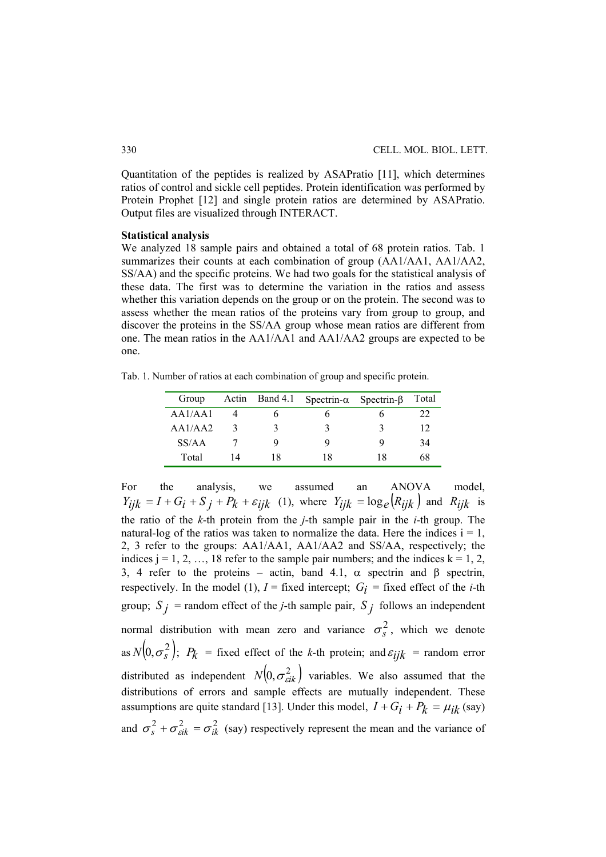Quantitation of the peptides is realized by ASAPratio [11], which determines ratios of control and sickle cell peptides. Protein identification was performed by Protein Prophet [12] and single protein ratios are determined by ASAPratio. Output files are visualized through INTERACT.

#### **Statistical analysis**

We analyzed 18 sample pairs and obtained a total of 68 protein ratios. Tab. 1 summarizes their counts at each combination of group (AA1/AA1, AA1/AA2, SS/AA) and the specific proteins. We had two goals for the statistical analysis of these data. The first was to determine the variation in the ratios and assess whether this variation depends on the group or on the protein. The second was to assess whether the mean ratios of the proteins vary from group to group, and discover the proteins in the SS/AA group whose mean ratios are different from one. The mean ratios in the AA1/AA1 and AA1/AA2 groups are expected to be one.

Tab. 1. Number of ratios at each combination of group and specific protein.

| Group   |    |    | Actin Band 4.1 Spectrin- $\alpha$ Spectrin- $\beta$ |    | Total |
|---------|----|----|-----------------------------------------------------|----|-------|
| AA1/AA1 |    |    |                                                     |    | フフ    |
| AA1/AA2 |    |    |                                                     |    |       |
| SS/AA   |    |    |                                                     |    | 34    |
| Total   | 14 | 18 | 18                                                  | 18 | 68    |

For the analysis, we assumed an ANOVA model,  $Y_{ijk} = I + G_i + S_j + P_k + \varepsilon_{ijk}$  (1), where  $Y_{ijk} = \log_e(R_{ijk})$  and  $R_{ijk}$  is the ratio of the *k*-th protein from the *j*-th sample pair in the *i*-th group. The natural-log of the ratios was taken to normalize the data. Here the indices  $i = 1$ , 2, 3 refer to the groups: AA1/AA1, AA1/AA2 and SS/AA, respectively; the indices  $j = 1, 2, ..., 18$  refer to the sample pair numbers; and the indices  $k = 1, 2,$ 3, 4 refer to the proteins – actin, band 4.1,  $\alpha$  spectrin and  $\beta$  spectrin, respectively. In the model (1),  $I =$  fixed intercept;  $G_i =$  fixed effect of the *i*-th group;  $S_j$  = random effect of the *j*-th sample pair,  $S_j$  follows an independent normal distribution with mean zero and variance  $\sigma_s^2$ , which we denote as  $N(0, \sigma_s^2)$ ;  $P_k$  = fixed effect of the *k*-th protein; and  $\varepsilon_{ijk}$  = random error distributed as independent  $N( 0, \sigma_{cik}^2 )$  variables. We also assumed that the distributions of errors and sample effects are mutually independent. These assumptions are quite standard [13]. Under this model,  $I + G_i + P_k = \mu_{ik}$  (say) and  $\sigma_s^2 + \sigma_{\textit{eik}}^2 = \sigma_{ik}^2$  (say) respectively represent the mean and the variance of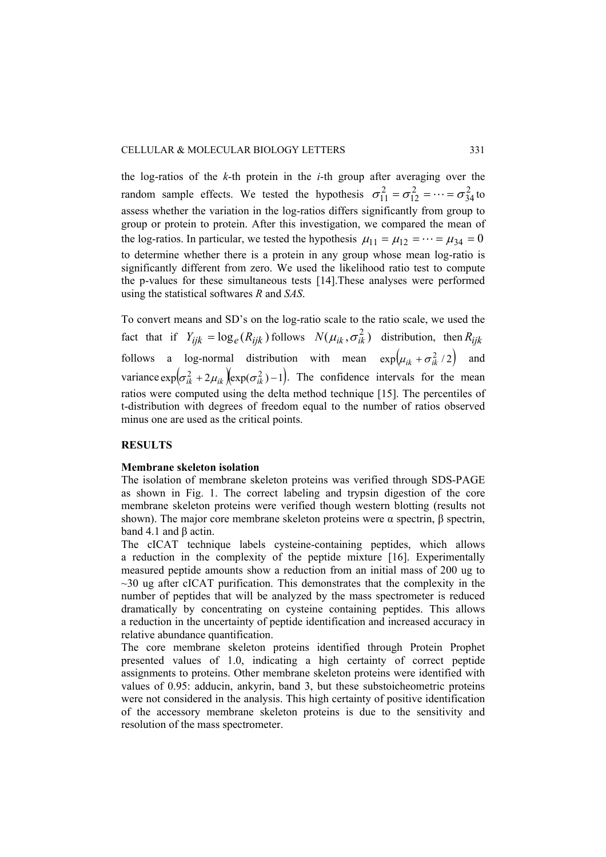the log-ratios of the *k*-th protein in the *i*-th group after averaging over the random sample effects. We tested the hypothesis  $\sigma_{11}^2 = \sigma_{12}^2 = \cdots = \sigma_{34}^2$ 2  $\sigma_{11}^2 = \sigma_{12}^2 = \cdots = \sigma_{34}^2$  to assess whether the variation in the log-ratios differs significantly from group to group or protein to protein. After this investigation, we compared the mean of the log-ratios. In particular, we tested the hypothesis  $\mu_{11} = \mu_{12} = \cdots = \mu_{34} = 0$ to determine whether there is a protein in any group whose mean log-ratio is significantly different from zero. We used the likelihood ratio test to compute the p-values for these simultaneous tests [14].These analyses were performed using the statistical softwares *R* and *SAS*.

To convert means and SD's on the log-ratio scale to the ratio scale, we used the fact that if  $Y_{ijk} = \log_e (R_{ijk})$  follows  $N(\mu_{ik}, \sigma_{ik}^2)$  distribution, then  $R_{iik}$ follows a log-normal distribution with mean  $\exp(\mu_{ik} + \sigma_{ik}^2/2)$  and variance  $\exp(\sigma_{ik}^2 + 2\mu_{ik})(\exp(\sigma_{ik}^2) - 1)$ . The confidence intervals for the mean ratios were computed using the delta method technique [15]. The percentiles of t-distribution with degrees of freedom equal to the number of ratios observed minus one are used as the critical points.

# **RESULTS**

## **Membrane skeleton isolation**

The isolation of membrane skeleton proteins was verified through SDS-PAGE as shown in Fig. 1. The correct labeling and trypsin digestion of the core membrane skeleton proteins were verified though western blotting (results not shown). The major core membrane skeleton proteins were  $\alpha$  spectrin,  $\beta$  spectrin, band 4.1 and β actin.

The cICAT technique labels cysteine-containing peptides, which allows a reduction in the complexity of the peptide mixture [16]. Experimentally measured peptide amounts show a reduction from an initial mass of 200 ug to  $\sim$ 30 ug after cICAT purification. This demonstrates that the complexity in the number of peptides that will be analyzed by the mass spectrometer is reduced dramatically by concentrating on cysteine containing peptides. This allows a reduction in the uncertainty of peptide identification and increased accuracy in relative abundance quantification.

The core membrane skeleton proteins identified through Protein Prophet presented values of 1.0, indicating a high certainty of correct peptide assignments to proteins. Other membrane skeleton proteins were identified with values of 0.95: adducin, ankyrin, band 3, but these substoicheometric proteins were not considered in the analysis. This high certainty of positive identification of the accessory membrane skeleton proteins is due to the sensitivity and resolution of the mass spectrometer.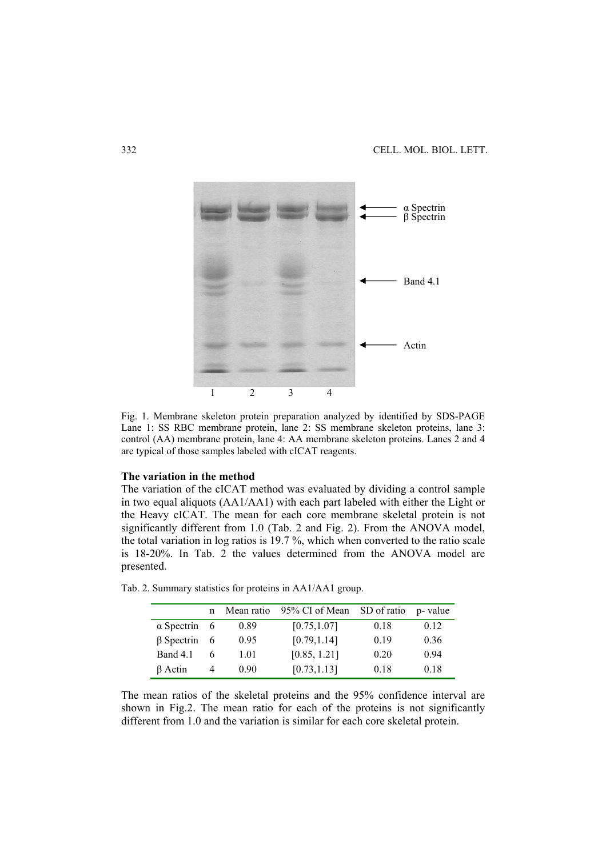

Fig. 1. Membrane skeleton protein preparation analyzed by identified by SDS-PAGE Lane 1: SS RBC membrane protein, lane 2: SS membrane skeleton proteins, lane 3: control (AA) membrane protein, lane 4: AA membrane skeleton proteins. Lanes 2 and 4 are typical of those samples labeled with cICAT reagents.

### **The variation in the method**

The variation of the cICAT method was evaluated by dividing a control sample in two equal aliquots (AA1/AA1) with each part labeled with either the Light or the Heavy cICAT. The mean for each core membrane skeletal protein is not significantly different from 1.0 (Tab. 2 and Fig. 2). From the ANOVA model, the total variation in log ratios is 19.7 %, which when converted to the ratio scale is 18-20%. In Tab. 2 the values determined from the ANOVA model are presented.

|                     | n |      | Mean ratio 95% CI of Mean SD of ratio p-value |      |      |
|---------------------|---|------|-----------------------------------------------|------|------|
| $\alpha$ Spectrin 6 |   | 0.89 | [0.75, 1.07]                                  | 0.18 | 0.12 |
| $\beta$ Spectrin 6  |   | 0.95 | [0.79, 1.14]                                  | 0.19 | 0.36 |
| Band 4.1            | 6 | 1.01 | [0.85, 1.21]                                  | 0.20 | 0.94 |
| $\beta$ Actin       |   | 0.90 | [0.73, 1.13]                                  | 0.18 | 0.18 |

Tab. 2. Summary statistics for proteins in AA1/AA1 group.

The mean ratios of the skeletal proteins and the 95% confidence interval are shown in Fig.2. The mean ratio for each of the proteins is not significantly different from 1.0 and the variation is similar for each core skeletal protein.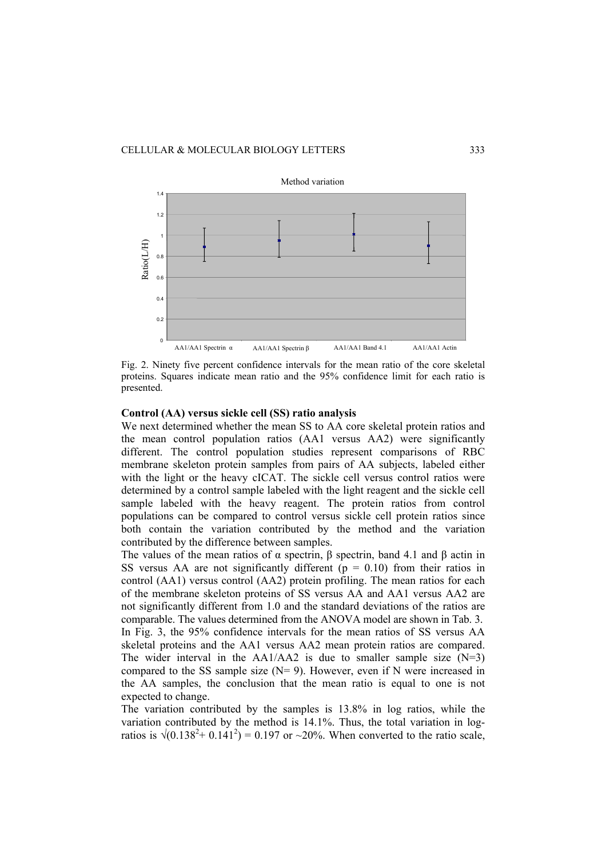

Fig. 2. Ninety five percent confidence intervals for the mean ratio of the core skeletal proteins. Squares indicate mean ratio and the 95% confidence limit for each ratio is presented.

## **Control (AA) versus sickle cell (SS) ratio analysis**

We next determined whether the mean SS to AA core skeletal protein ratios and the mean control population ratios (AA1 versus AA2) were significantly different. The control population studies represent comparisons of RBC membrane skeleton protein samples from pairs of AA subjects, labeled either with the light or the heavy cICAT. The sickle cell versus control ratios were determined by a control sample labeled with the light reagent and the sickle cell sample labeled with the heavy reagent. The protein ratios from control populations can be compared to control versus sickle cell protein ratios since both contain the variation contributed by the method and the variation contributed by the difference between samples.

The values of the mean ratios of  $\alpha$  spectrin,  $\beta$  spectrin, band 4.1 and  $\beta$  actin in SS versus AA are not significantly different ( $p = 0.10$ ) from their ratios in control (AA1) versus control (AA2) protein profiling. The mean ratios for each of the membrane skeleton proteins of SS versus AA and AA1 versus AA2 are not significantly different from 1.0 and the standard deviations of the ratios are comparable. The values determined from the ANOVA model are shown in Tab. 3. In Fig. 3, the 95% confidence intervals for the mean ratios of SS versus AA skeletal proteins and the AA1 versus AA2 mean protein ratios are compared. The wider interval in the  $AA1/AA2$  is due to smaller sample size  $(N=3)$ compared to the SS sample size  $(N= 9)$ . However, even if N were increased in the AA samples, the conclusion that the mean ratio is equal to one is not expected to change.

The variation contributed by the samples is 13.8% in log ratios, while the variation contributed by the method is 14.1%. Thus, the total variation in logratios is  $\sqrt{(0.138^2 + 0.141^2)} = 0.197$  or ~20%. When converted to the ratio scale,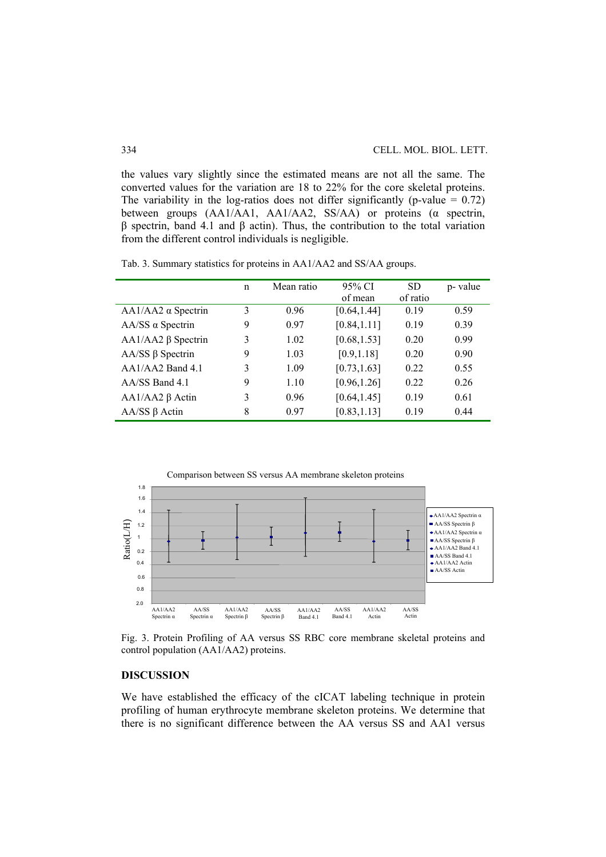the values vary slightly since the estimated means are not all the same. The converted values for the variation are 18 to 22% for the core skeletal proteins. The variability in the log-ratios does not differ significantly (p-value  $= 0.72$ ) between groups (AA1/AA1, AA1/AA2, SS/AA) or proteins (α spectrin, β spectrin, band 4.1 and β actin). Thus, the contribution to the total variation from the different control individuals is negligible.

Tab. 3. Summary statistics for proteins in AA1/AA2 and SS/AA groups.

|                           | n | Mean ratio | 95% CI       | <b>SD</b> | p-value |
|---------------------------|---|------------|--------------|-----------|---------|
|                           |   |            | of mean      | of ratio  |         |
| $AA1/AA2 \alpha$ Spectrin | 3 | 0.96       | [0.64, 1.44] | 0.19      | 0.59    |
| $AA/SS \alpha$ Spectrin   | 9 | 0.97       | [0.84, 1.11] | 0.19      | 0.39    |
| $AA1/AA2 \beta$ Spectrin  | 3 | 1.02       | [0.68, 1.53] | 0.20      | 0.99    |
| $AA/SS \beta$ Spectrin    | 9 | 1.03       | [0.9, 1.18]  | 0.20      | 0.90    |
| $AA1/AA2$ Band 4.1        | 3 | 1.09       | [0.73, 1.63] | 0.22      | 0.55    |
| $AA/SS$ Band 4.1          | 9 | 1.10       | [0.96, 1.26] | 0.22      | 0.26    |
| $AA1/AA2 \beta Actin$     | 3 | 0.96       | [0.64, 1.45] | 0.19      | 0.61    |
| $AA/SS \beta$ Actin       | 8 | 0.97       | [0.83, 1.13] | 0.19      | 0.44    |



Fig. 3. Protein Profiling of AA versus SS RBC core membrane skeletal proteins and control population (AA1/AA2) proteins.

# **DISCUSSION**

We have established the efficacy of the cICAT labeling technique in protein profiling of human erythrocyte membrane skeleton proteins. We determine that there is no significant difference between the AA versus SS and AA1 versus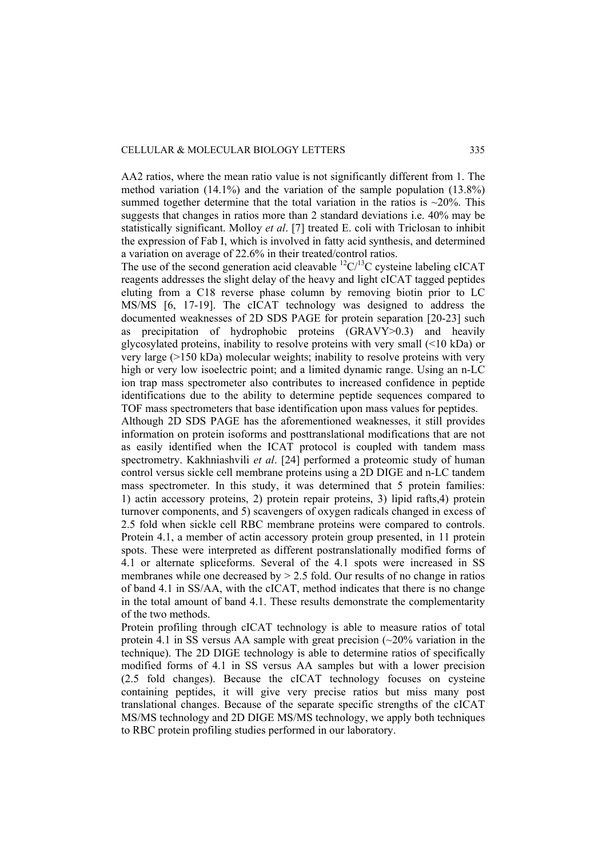AA2 ratios, where the mean ratio value is not significantly different from 1. The method variation (14.1%) and the variation of the sample population (13.8%) summed together determine that the total variation in the ratios is  $\sim$ 20%. This suggests that changes in ratios more than 2 standard deviations i.e. 40% may be statistically significant. Molloy *et al*. [7] treated E. coli with Triclosan to inhibit the expression of Fab I, which is involved in fatty acid synthesis, and determined a variation on average of 22.6% in their treated/control ratios.

The use of the second generation acid cleavable  ${}^{12}C/{}^{13}C$  cysteine labeling cICAT reagents addresses the slight delay of the heavy and light cICAT tagged peptides eluting from a C18 reverse phase column by removing biotin prior to LC MS/MS [6, 17-19]. The cICAT technology was designed to address the documented weaknesses of 2D SDS PAGE for protein separation [20-23] such as precipitation of hydrophobic proteins  $(GRAV\overline{Y} > 0.3)$  and heavily glycosylated proteins, inability to resolve proteins with very small (<10 kDa) or very large  $(>150 \text{ kDa})$  molecular weights; inability to resolve proteins with very high or very low isoelectric point; and a limited dynamic range. Using an n-LC ion trap mass spectrometer also contributes to increased confidence in peptide identifications due to the ability to determine peptide sequences compared to TOF mass spectrometers that base identification upon mass values for peptides.

Although 2D SDS PAGE has the aforementioned weaknesses, it still provides information on protein isoforms and posttranslational modifications that are not as easily identified when the ICAT protocol is coupled with tandem mass spectrometry. Kakhniashvili *et al*. [24] performed a proteomic study of human control versus sickle cell membrane proteins using a 2D DIGE and n-LC tandem mass spectrometer. In this study, it was determined that 5 protein families: 1) actin accessory proteins, 2) protein repair proteins, 3) lipid rafts,4) protein turnover components, and 5) scavengers of oxygen radicals changed in excess of 2.5 fold when sickle cell RBC membrane proteins were compared to controls. Protein 4.1, a member of actin accessory protein group presented, in 11 protein spots. These were interpreted as different postranslationally modified forms of 4.1 or alternate spliceforms. Several of the 4.1 spots were increased in SS membranes while one decreased by  $> 2.5$  fold. Our results of no change in ratios of band 4.1 in SS/AA, with the cICAT, method indicates that there is no change in the total amount of band 4.1. These results demonstrate the complementarity of the two methods.

Protein profiling through cICAT technology is able to measure ratios of total protein 4.1 in SS versus AA sample with great precision  $\left(\sim 20\%$  variation in the technique). The 2D DIGE technology is able to determine ratios of specifically modified forms of 4.1 in SS versus AA samples but with a lower precision (2.5 fold changes). Because the cICAT technology focuses on cysteine containing peptides, it will give very precise ratios but miss many post translational changes. Because of the separate specific strengths of the cICAT MS/MS technology and 2D DIGE MS/MS technology, we apply both techniques to RBC protein profiling studies performed in our laboratory.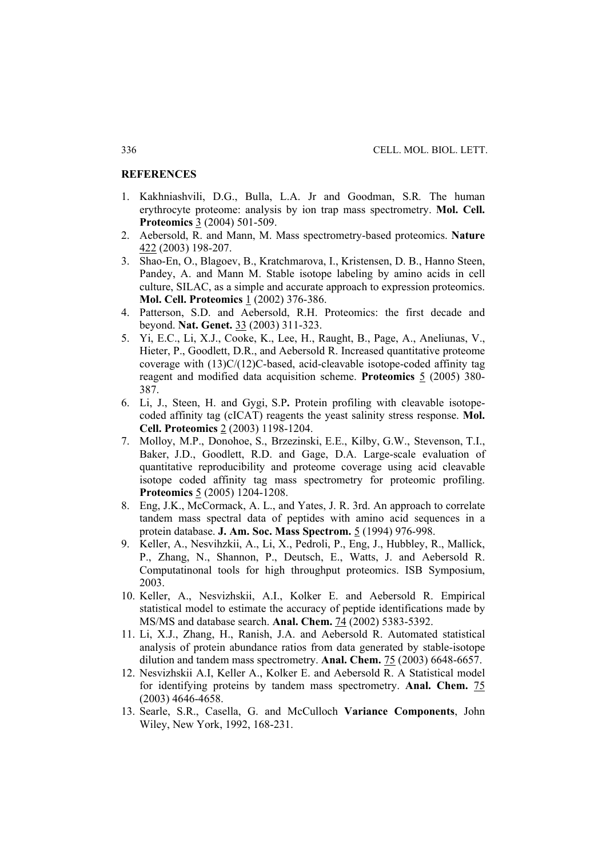## **REFERENCES**

- 1. Kakhniashvili, D.G., Bulla, L.A. Jr and Goodman, S.R*.* The human erythrocyte proteome: analysis by ion trap mass spectrometry. **Mol. Cell. Proteomics** 3 (2004) 501-509.
- 2. Aebersold, R. and Mann, M. Mass spectrometry-based proteomics. **Nature** 422 (2003) 198-207.
- 3. Shao-En, O., Blagoev, B., Kratchmarova, I., Kristensen, D. B., Hanno Steen, Pandey, A. and Mann M. Stable isotope labeling by amino acids in cell culture, SILAC, as a simple and accurate approach to expression proteomics. **Mol. Cell. Proteomics** 1 (2002) 376-386.
- 4. Patterson, S.D. and Aebersold, R.H. Proteomics: the first decade and beyond. **Nat. Genet.** 33 (2003) 311-323.
- 5. Yi, E.C., Li, X.J., Cooke, K., Lee, H., Raught, B., Page, A., Aneliunas, V., Hieter, P., Goodlett, D.R., and Aebersold R. Increased quantitative proteome coverage with (13)C/(12)C-based, acid-cleavable isotope-coded affinity tag reagent and modified data acquisition scheme. **Proteomics** 5 (2005) 380- 387.
- 6. Li, J., Steen, H. and Gygi, S.P**.** Protein profiling with cleavable isotopecoded affinity tag (cICAT) reagents the yeast salinity stress response. **Mol. Cell. Proteomics** 2 (2003) 1198-1204.
- 7. Molloy, M.P., Donohoe, S., Brzezinski, E.E., Kilby, G.W., Stevenson, T.I., Baker, J.D., Goodlett, R.D. and Gage, D.A. Large-scale evaluation of quantitative reproducibility and proteome coverage using acid cleavable isotope coded affinity tag mass spectrometry for proteomic profiling. **Proteomics** 5 (2005) 1204-1208.
- 8. Eng, J.K., McCormack, A. L., and Yates, J. R. 3rd. An approach to correlate tandem mass spectral data of peptides with amino acid sequences in a protein database. **J. Am. Soc. Mass Spectrom.** 5 (1994) 976-998.
- 9. Keller, A., Nesvihzkii, A., Li, X., Pedroli, P., Eng, J., Hubbley, R., Mallick, P., Zhang, N., Shannon, P., Deutsch, E., Watts, J. and Aebersold R. Computatinonal tools for high throughput proteomics. ISB Symposium, 2003.
- 10. Keller, A., Nesvizhskii, A.I., Kolker E. and Aebersold R. Empirical statistical model to estimate the accuracy of peptide identifications made by MS/MS and database search. **Anal. Chem.** 74 (2002) 5383-5392.
- 11. Li, X.J., Zhang, H., Ranish, J.A. and Aebersold R. Automated statistical analysis of protein abundance ratios from data generated by stable-isotope dilution and tandem mass spectrometry. **Anal. Chem.** 75 (2003) 6648-6657.
- 12. Nesvizhskii A.I, Keller A., Kolker E. and Aebersold R. A Statistical model for identifying proteins by tandem mass spectrometry. **Anal. Chem.** 75 (2003) 4646-4658.
- 13. Searle, S.R., Casella, G. and McCulloch **Variance Components**, John Wiley, New York, 1992, 168-231.